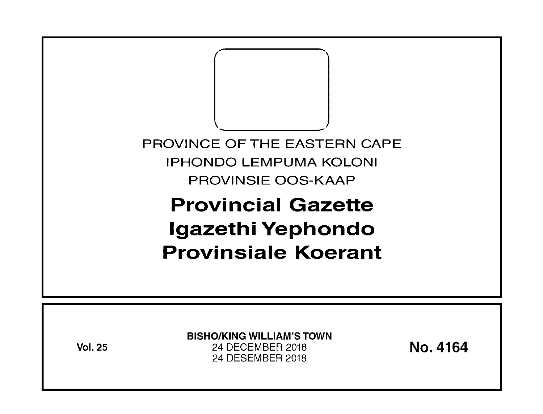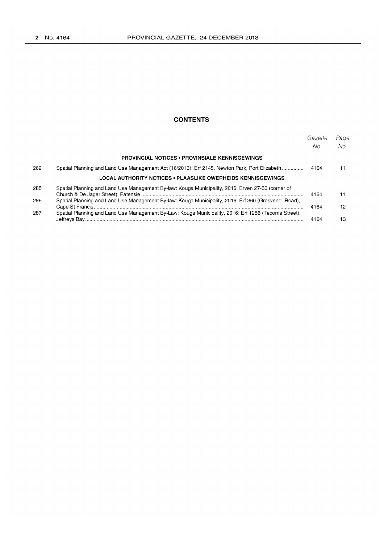#### **CONTENTS**

|     |                                                                                                      | Gazette<br>No. | Page<br>No. |
|-----|------------------------------------------------------------------------------------------------------|----------------|-------------|
|     | <b>PROVINCIAL NOTICES • PROVINSIALE KENNISGEWINGS</b>                                                |                |             |
| 262 | Spatial Planning and Land Use Management Act (16/2013): Erf 2145, Newton Park, Port Elizabeth        | 4164           |             |
|     | LOCAL AUTHORITY NOTICES • PLAASLIKE OWERHEIDS KENNISGEWINGS                                          |                |             |
| 285 | Spatial Planning and Land Use Management By-law: Kouga Municipality, 2016: Erven 27-30 (corner of    | 4164           |             |
| 286 | Spatial Planning and Land Use Management By-law: Kouga Municipality, 2016: Erf 360 (Grosvenor Road), | 4164           | 12          |
| 287 | Spatial Planning and Land Use Management By-Law: Kouga Municipality, 2016: Erf 1256 (Tecoma Street), | 4164           | 13          |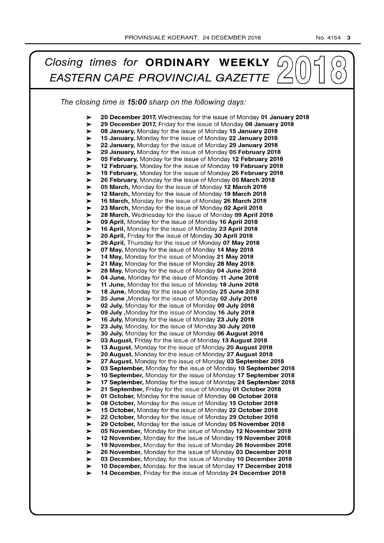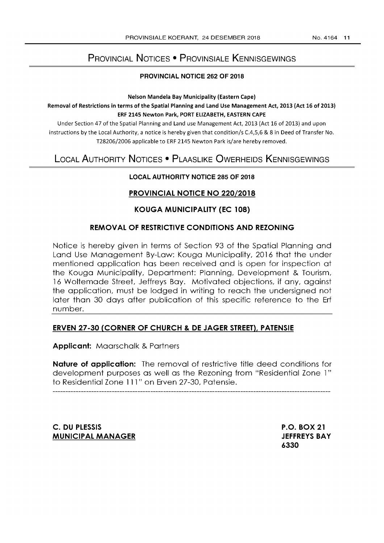# PROVINCIAL NOTICES • PROVINSIALE KENNISGEWINGS

#### PROVINCIAL NOTICE 262 OF 2018

Nelson Mandela Bay Municipality (Eastern Cape) Removal of Restrictions in terms of the Spatial Planning and Land Use Management Act, 2013 (Act 16 of 2013) ERF 2145 Newton Park, PORT ELIZABETH, EASTERN CAPE

Under Section 47 of the Spatial Planning and Land use Management Act, 2013 (Act 16 of 2013) and upon instructions by the Local Authority, a notice is hereby given that condition/s C.4,5,6 & 8 in Deed of Transfer No. T28206/2006 applicable to ERF 2145 Newton Park is/are hereby removed.

# LOCAL AUTHORITY NOTICES • PLAASLIKE OWERHEIDS KENNISGEWINGS

#### LOCAL AUTHORITY NOTICE 285 OF 2018

## PROVINCIAL NOTICE NO 220/2018

## KOUGA MUNICIPALITY (EC 108)

## REMOVAL OF RESTRICTIVE CONDITIONS AND REZONING

Notice is hereby given in terms of Section 93 of the Spatial Planning and Land Use Management By-Law: Kouga Municipality, 2016 that the under mentioned application has been received and is open for inspection at the Kouga Municipality, Department: Planning, Development & Tourism, 16 Woltemade Street, Jeffreys Bay. Motivated objections, if any, against the application, must be lodged in writing to reach the undersigned not later than 30 days after publication of this specific reference to the Erf number.

## ERVEN 27-30 (CORNER OF CHURCH & DE JAGER STREET), PATENSIE

Applicant: Maarschalk & Partners

Nature of application: The removal of restrictive title deed conditions for development purposes as well as the Rezoning from "Residential Zone 1" to Residential Zone 111" on Erven 27-30, Patensie.

C. DU PLESSIS MUNICIPAL MANAGER P.O. BOX 21 JEFFREYS BAY 6330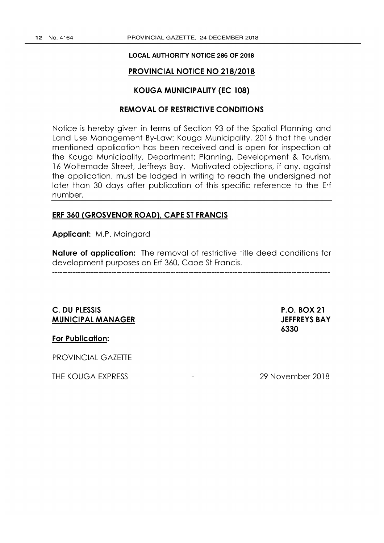#### **LOCAL AUTHORITY NOTICE 286 OF 2018**

## **PROVINCIAL NOTICE NO 218/2018**

#### **KOUGA MUNICIPALITY (EC 108)**

## **REMOVAL OF RESTRICTIVE CONDITIONS**

Notice is hereby given in terms of Section 93 of the Spatial Planning and Land Use Management By-Low: Kouga Municipality, 2016 that the under mentioned application has been received and is open for inspection at the Kouga Municipality, Deportment: Planning, Development & Tourism, 16 Woltemade Street, Jeffreys Boy. Motivated objections, if any, against the application, must be lodged in writing to reach the undersigned not later than 30 days after publication of this specific reference to the Erf number.

#### **ERF 360 (GROSVENOR ROAD), CAPE ST FRANCIS**

**Applicant:** M.P. Maingard

**Nature of application:** The removal of restrictive title deed conditions for development purposes on Erf 360, Cope St Francis.

## **C. DU PLESSIS MUNICIPAL MANAGER**

**P.O. BOX 21 JEFFREYS BAY 6330** 

**For Publication:** 

PROVINCIAL GAZETTE

**THE** KOUGA EXPRESS

29 November 2018